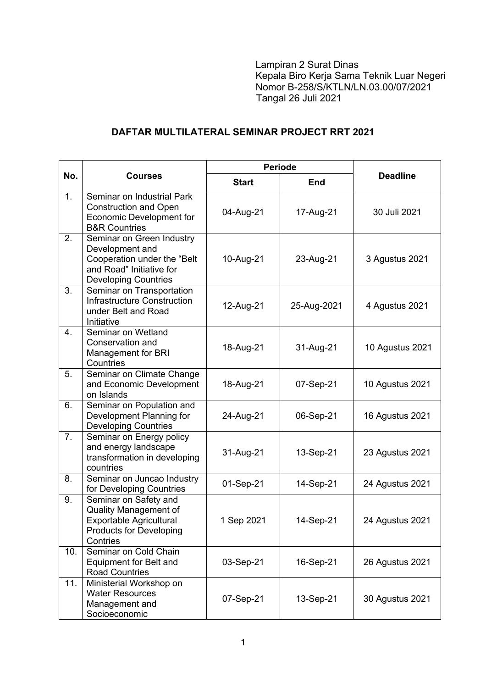Lampiran 2 Surat Dinas Kepala Biro Kerja Sama Teknik Luar Negeri Nomor B-258/S/KTLN/LN.03.00/07/2021 Tangal 26 Juli 2021

## **DAFTAR MULTILATERAL SEMINAR PROJECT RRT 2021**

| No.              | <b>Courses</b>                                                                                                                         | <b>Periode</b> |             |                 |
|------------------|----------------------------------------------------------------------------------------------------------------------------------------|----------------|-------------|-----------------|
|                  |                                                                                                                                        | <b>Start</b>   | <b>End</b>  | <b>Deadline</b> |
| 1.               | Seminar on Industrial Park<br><b>Construction and Open</b><br><b>Economic Development for</b><br><b>B&amp;R Countries</b>              | 04-Aug-21      | 17-Aug-21   | 30 Juli 2021    |
| 2.               | Seminar on Green Industry<br>Development and<br>Cooperation under the "Belt<br>and Road" Initiative for<br><b>Developing Countries</b> | 10-Aug-21      | 23-Aug-21   | 3 Agustus 2021  |
| 3.               | Seminar on Transportation<br><b>Infrastructure Construction</b><br>under Belt and Road<br>Initiative                                   | 12-Aug-21      | 25-Aug-2021 | 4 Agustus 2021  |
| $\overline{4}$ . | Seminar on Wetland<br>Conservation and<br><b>Management for BRI</b><br>Countries                                                       | 18-Aug-21      | 31-Aug-21   | 10 Agustus 2021 |
| 5.               | Seminar on Climate Change<br>and Economic Development<br>on Islands                                                                    | 18-Aug-21      | 07-Sep-21   | 10 Agustus 2021 |
| 6.               | Seminar on Population and<br>Development Planning for<br><b>Developing Countries</b>                                                   | 24-Aug-21      | 06-Sep-21   | 16 Agustus 2021 |
| 7.               | Seminar on Energy policy<br>and energy landscape<br>transformation in developing<br>countries                                          | 31-Aug-21      | 13-Sep-21   | 23 Agustus 2021 |
| 8.               | Seminar on Juncao Industry<br>for Developing Countries                                                                                 | 01-Sep-21      | 14-Sep-21   | 24 Agustus 2021 |
| 9.               | Seminar on Safety and<br><b>Quality Management of</b><br><b>Exportable Agricultural</b><br><b>Products for Developing</b><br>Contries  | 1 Sep 2021     | 14-Sep-21   | 24 Agustus 2021 |
| 10.              | Seminar on Cold Chain<br>Equipment for Belt and<br><b>Road Countries</b>                                                               | 03-Sep-21      | 16-Sep-21   | 26 Agustus 2021 |
| 11.              | Ministerial Workshop on<br><b>Water Resources</b><br>Management and<br>Socioeconomic                                                   | 07-Sep-21      | 13-Sep-21   | 30 Agustus 2021 |